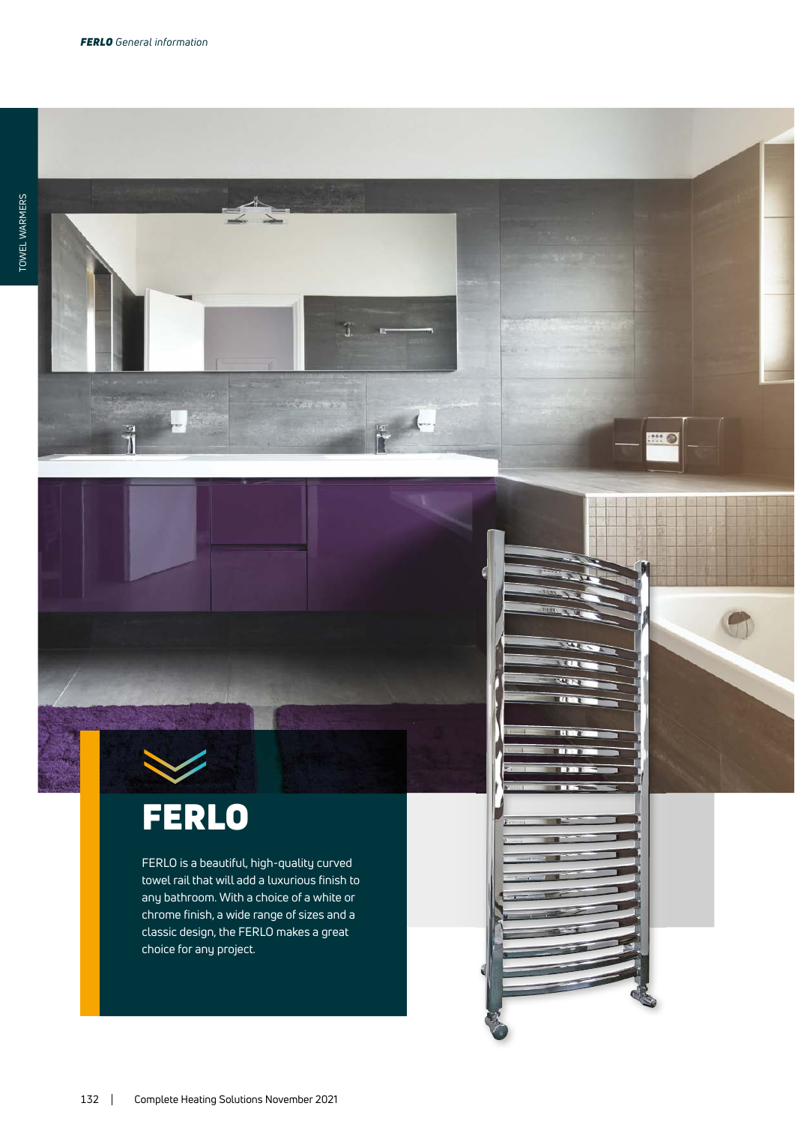$\frac{1}{3}$ 



FERLO is a beautiful, high-quality curved towel rail that will add a luxurious finish to any bathroom. With a choice of a white or chrome finish, a wide range of sizes and a classic design, the FERLO makes a great choice for any project.